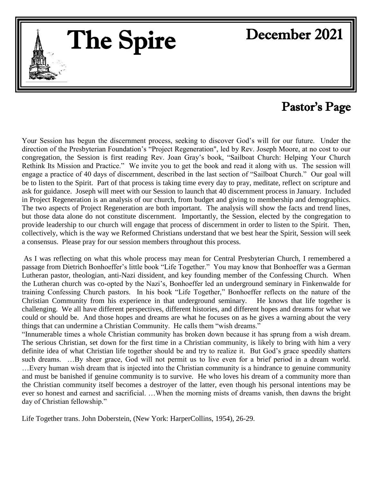# The Spire

 $\overline{\phantom{a}}$ 

# December 2021

# Pastor's Page

Your Session has begun the discernment process, seeking to discover God's will for our future. Under the direction of the Presbyterian Foundation's "Project Regeneration", led by Rev. Joseph Moore, at no cost to our congregation, the Session is first reading Rev. Joan Gray's book, "Sailboat Church: Helping Your Church Rethink Its Mission and Practice." We invite you to get the book and read it along with us. The session will engage a practice of 40 days of discernment, described in the last section of "Sailboat Church." Our goal will be to listen to the Spirit. Part of that process is taking time every day to pray, meditate, reflect on scripture and ask for guidance. Joseph will meet with our Session to launch that 40 discernment process in January. Included in Project Regeneration is an analysis of our church, from budget and giving to membership and demographics. The two aspects of Project Regeneration are both important. The analysis will show the facts and trend lines, but those data alone do not constitute discernment. Importantly, the Session, elected by the congregation to provide leadership to our church will engage that process of discernment in order to listen to the Spirit. Then, collectively, which is the way we Reformed Christians understand that we best hear the Spirit, Session will seek a consensus. Please pray for our session members throughout this process.

As I was reflecting on what this whole process may mean for Central Presbyterian Church, I remembered a passage from Dietrich Bonhoeffer's little book "Life Together." You may know that Bonhoeffer was a German Lutheran pastor, theologian, anti-Nazi dissident, and key founding member of the Confessing Church. When the Lutheran church was co-opted by the Nazi's, Bonhoeffer led an underground seminary in Finkenwalde for training Confessing Church pastors. In his book "Life Together," Bonhoeffer reflects on the nature of the Christian Community from his experience in that underground seminary. He knows that life together is challenging. We all have different perspectives, different histories, and different hopes and dreams for what we could or should be. And those hopes and dreams are what he focuses on as he gives a warning about the very things that can undermine a Christian Community. He calls them "wish dreams."

"Innumerable times a whole Christian community has broken down because it has sprung from a wish dream. The serious Christian, set down for the first time in a Christian community, is likely to bring with him a very definite idea of what Christian life together should be and try to realize it. But God's grace speedily shatters such dreams. …By sheer grace, God will not permit us to live even for a brief period in a dream world. …Every human wish dream that is injected into the Christian community is a hindrance to genuine community and must be banished if genuine community is to survive. He who loves his dream of a community more than the Christian community itself becomes a destroyer of the latter, even though his personal intentions may be ever so honest and earnest and sacrificial. …When the morning mists of dreams vanish, then dawns the bright day of Christian fellowship."

Life Together trans. John Doberstein, (New York: HarperCollins, 1954), 26-29.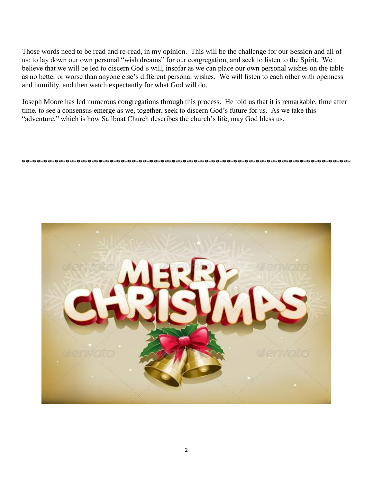Those words need to be read and re-read, in my opinion. This will be the challenge for our Session and all of us: to lay down our own personal "wish dreams" for our congregation, and seek to listen to the Spirit. We believe that we will be led to discern God's will, insofar as we can place our own personal wishes on the table as no better or worse than anyone else's different personal wishes. We will listen to each other with openness and humility, and then watch expectantly for what God will do.

Joseph Moore has led numerous congregations through this process. He told us that it is remarkable, time after time, to see a consensus emerge as we, together, seek to discern God's future for us. As we take this "adventure," which is how Sailboat Church describes the church's life, may God bless us.

\*\*\*\*\*\*\*\*\*\*\*\*\*\*\*\*\*\*\*\*\*\*\*\*\*\*\*\*\*\*\*\*\*\*\*\*\*\*\*\*\*\*\*\*\*\*\*\*\*\*\*\*\*\*\*\*\*\*\*\*\*\*\*\*\*\*\*\*\*\*\*\*\*\*\*\*\*\*\*\*\*\*\*\*\*\*\*\*\*\*

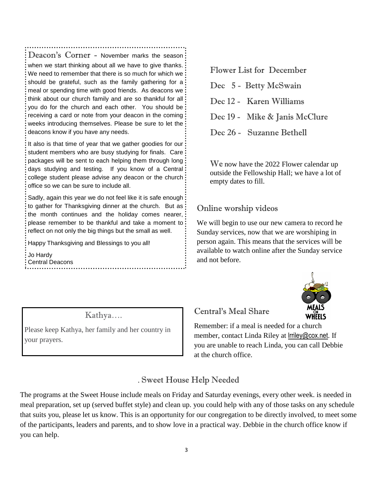Deacon's Corner - November marks the season: when we start thinking about all we have to give thanks. We need to remember that there is so much for which we should be grateful, such as the family gathering for a meal or spending time with good friends. As deacons we think about our church family and are so thankful for all you do for the church and each other. You should be receiving a card or note from your deacon in the coming weeks introducing themselves. Please be sure to let the deacons know if you have any needs.

It also is that time of year that we gather goodies for our student members who are busy studying for finals. Care packages will be sent to each helping them through long days studying and testing. If you know of a Central college student please advise any deacon or the church office so we can be sure to include all.

Sadly, again this year we do not feel like it is safe enough to gather for Thanksgiving dinner at the church. But as the month continues and the holiday comes nearer, please remember to be thankful and take a moment to reflect on not only the big things but the small as well.

Happy Thanksgiving and Blessings to you all!

Jo Hardy Central Deacons

Kathya….

Please keep Kathya, her family and her country in your prayers.

Flower List for December

- Dec 5 Betty McSwain Dec 12 - Karen Williams
- Dec 19 Mike & Janis McClure
- Dec 26 Suzanne Bethell

We now have the 2022 Flower calendar up outside the Fellowship Hall; we have a lot of empty dates to fill.

## Online worship videos

We will begin to use our new camera to record he Sunday services, now that we are worshiping in person again. This means that the services will be available to watch online after the Sunday service and not before.



Central's Meal Share

Remember: if a meal is needed for a church member, contact Linda Riley at lrriley@cox.net. If you are unable to reach Linda, you can call Debbie at the church office.

# . Sweet House Help Needed

The programs at the Sweet House include meals on Friday and Saturday evenings, every other week. is needed in meal preparation, set up (served buffet style) and clean up. you could help with any of those tasks on any schedule that suits you, please let us know. This is an opportunity for our congregation to be directly involved, to meet some of the participants, leaders and parents, and to show love in a practical way. Debbie in the church office know if you can help.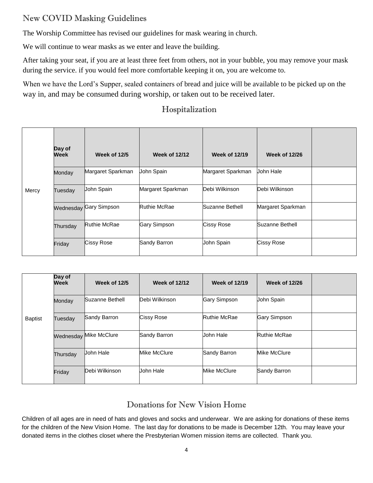## New COVID Masking Guidelines

The Worship Committee has revised our guidelines for mask wearing in church.

We will continue to wear masks as we enter and leave the building.

After taking your seat, if you are at least three feet from others, not in your bubble, you may remove your mask during the service. if you would feel more comfortable keeping it on, you are welcome to.

When we have the Lord's Supper, sealed containers of bread and juice will be available to be picked up on the way in, and may be consumed during worship, or taken out to be received later.

|       | Day of<br>Week | Week of 12/5           | <b>Week of 12/12</b> | <b>Week of 12/19</b> | <b>Week of 12/26</b> |  |
|-------|----------------|------------------------|----------------------|----------------------|----------------------|--|
|       | Monday         | Margaret Sparkman      | John Spain           | Margaret Sparkman    | John Hale            |  |
| Mercy | Tuesday        | John Spain             | Margaret Sparkman    | Debi Wilkinson       | Debi Wilkinson       |  |
|       |                | Wednesday Gary Simpson | <b>Ruthie McRae</b>  | Suzanne Bethell      | Margaret Sparkman    |  |
|       | Thursday       | Ruthie McRae           | <b>Gary Simpson</b>  | Cissy Rose           | Suzanne Bethell      |  |
|       | Friday         | <b>Cissy Rose</b>      | Sandy Barron         | John Spain           | <b>Cissy Rose</b>    |  |

#### Hospitalization

|                | Day of<br>Week | <b>Week of 12/5</b>    | <b>Week of 12/12</b> | <b>Week of 12/19</b> | <b>Week of 12/26</b> |  |
|----------------|----------------|------------------------|----------------------|----------------------|----------------------|--|
|                | Monday         | Suzanne Bethell        | Debi Wilkinson       | Gary Simpson         | John Spain           |  |
| <b>Baptist</b> | Tuesday        | Sandy Barron           | <b>Cissy Rose</b>    | <b>Ruthie McRae</b>  | <b>Gary Simpson</b>  |  |
|                |                | Wednesday Mike McClure | Sandy Barron         | John Hale            | <b>Ruthie McRae</b>  |  |
|                | Thursday       | Uohn Hale              | Mike McClure         | Sandy Barron         | Mike McClure         |  |
|                | Friday         | Debi Wilkinson         | John Hale            | Mike McClure         | Sandy Barron         |  |

#### Donations for New Vision Home

Children of all ages are in need of hats and gloves and socks and underwear. We are asking for donations of these items for the children of the New Vision Home. The last day for donations to be made is December 12th. You may leave your donated items in the clothes closet where the Presbyterian Women mission items are collected. Thank you.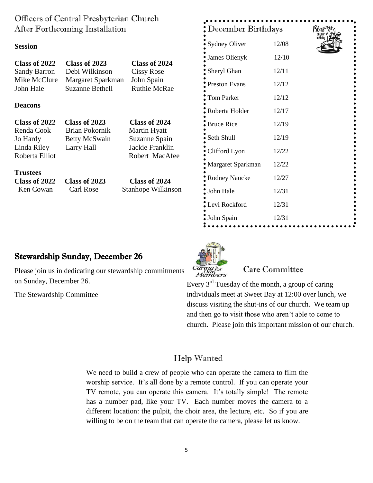| Officers of Central Presbyterian Church<br>After Forthcoming Installation |                                             |                                    | December Birthdays   | Blessing |  |
|---------------------------------------------------------------------------|---------------------------------------------|------------------------------------|----------------------|----------|--|
| <b>Session</b>                                                            |                                             |                                    | <b>Sydney Oliver</b> | 12/08    |  |
|                                                                           |                                             |                                    | James Olienyk        | 12/10    |  |
| Class of 2022<br>Sandy Barron                                             | Class of 2023<br>Debi Wilkinson             | Class of 2024<br><b>Cissy Rose</b> | Sheryl Ghan          | 12/11    |  |
| Mike McClure<br>John Hale                                                 | Margaret Sparkman<br><b>Suzanne Bethell</b> | John Spain<br><b>Ruthie McRae</b>  | <b>Preston Evans</b> | 12/12    |  |
|                                                                           |                                             |                                    | Tom Parker           | 12/12    |  |
| <b>Deacons</b>                                                            |                                             |                                    | Roberta Holder       | 12/17    |  |
| Class of 2022                                                             | Class of 2023                               | Class of 2024                      | $\bullet$ Bruce Rice | 12/19    |  |
| Renda Cook<br>Jo Hardy                                                    | Brian Pokornik<br><b>Betty McSwain</b>      | Martin Hyatt<br>Suzanne Spain      | Seth Shull           | 12/19    |  |
| Linda Riley<br>Roberta Elliot                                             | Larry Hall                                  | Jackie Franklin<br>Robert MacAfee  | Clifford Lyon        | 12/22    |  |
|                                                                           |                                             |                                    | Margaret Sparkman    | 12/22    |  |
| <b>Trustees</b><br>Class of 2024<br>Class of 2022<br>Class of 2023        |                                             |                                    | <b>Rodney Naucke</b> | 12/27    |  |
| Ken Cowan                                                                 | Carl Rose                                   | Stanhope Wilkinson                 | John Hale            | 12/31    |  |
|                                                                           |                                             |                                    | Levi Rockford        | 12/31    |  |

#### Stewardship Sunday, December 26

Please join us in dedicating our stewardship commitments on Sunday, December 26.

The Stewardship Committee

# Caring for Members

#### Care Committee

John Spain 12/31

Every 3rd Tuesday of the month, a group of caring individuals meet at Sweet Bay at 12:00 over lunch, we discuss visiting the shut-ins of our church. We team up and then go to visit those who aren't able to come to church. Please join this important mission of our church.

#### Help Wanted

We need to build a crew of people who can operate the camera to film the worship service. It's all done by a remote control. If you can operate your TV remote, you can operate this camera. It's totally simple! The remote has a number pad, like your TV. Each number moves the camera to a different location: the pulpit, the choir area, the lecture, etc. So if you are willing to be on the team that can operate the camera, please let us know.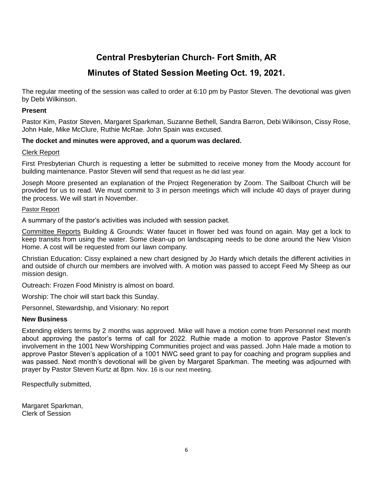# **Central Presbyterian Church- Fort Smith, AR**

## **Minutes of Stated Session Meeting Oct. 19, 2021.**

The regular meeting of the session was called to order at 6:10 pm by Pastor Steven. The devotional was given by Debi Wilkinson.

#### **Present**

Pastor Kim, Pastor Steven, Margaret Sparkman, Suzanne Bethell, Sandra Barron, Debi Wilkinson, Cissy Rose, John Hale, Mike McClure, Ruthie McRae. John Spain was excused.

#### **The docket and minutes were approved, and a quorum was declared.**

#### Clerk Report

First Presbyterian Church is requesting a letter be submitted to receive money from the Moody account for building maintenance. Pastor Steven will send that request as he did last year.

Joseph Moore presented an explanation of the Project Regeneration by Zoom. The Sailboat Church will be provided for us to read. We must commit to 3 in person meetings which will include 40 days of prayer during the process. We will start in November.

#### Pastor Report

A summary of the pastor's activities was included with session packet.

Committee Reports Building & Grounds: Water faucet in flower bed was found on again. May get a lock to keep transits from using the water. Some clean-up on landscaping needs to be done around the New Vision Home. A cost will be requested from our lawn company.

Christian Education: Cissy explained a new chart designed by Jo Hardy which details the different activities in and outside of church our members are involved with. A motion was passed to accept Feed My Sheep as our mission design.

Outreach: Frozen Food Ministry is almost on board.

Worship: The choir will start back this Sunday.

Personnel, Stewardship, and Visionary: No report

#### **New Business**

Extending elders terms by 2 months was approved. Mike will have a motion come from Personnel next month about approving the pastor's terms of call for 2022. Ruthie made a motion to approve Pastor Steven's involvement in the 1001 New Worshipping Communities project and was passed. John Hale made a motion to approve Pastor Steven's application of a 1001 NWC seed grant to pay for coaching and program supplies and was passed. Next month's devotional will be given by Margaret Sparkman. The meeting was adjourned with prayer by Pastor Steven Kurtz at 8pm. Nov. 16 is our next meeting.

Respectfully submitted,

Margaret Sparkman, Clerk of Session